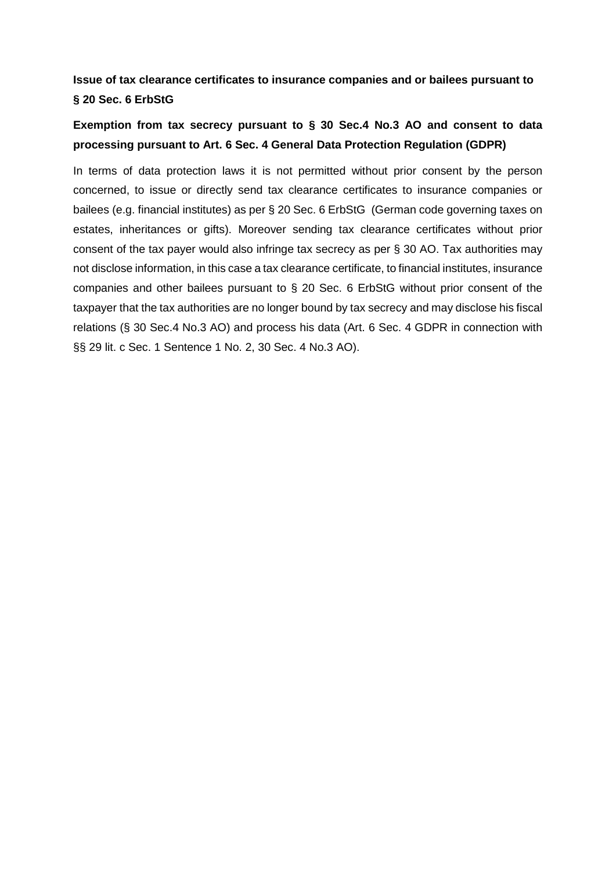## **Issue of tax clearance certificates to insurance companies and or bailees pursuant to § 20 Sec. 6 ErbStG**

## **Exemption from tax secrecy pursuant to § 30 Sec.4 No.3 AO and consent to data processing pursuant to Art. 6 Sec. 4 General Data Protection Regulation (GDPR)**

In terms of data protection laws it is not permitted without prior consent by the person concerned, to issue or directly send tax clearance certificates to insurance companies or bailees (e.g. financial institutes) as per § 20 Sec. 6 ErbStG (German code governing taxes on estates, inheritances or gifts). Moreover sending tax clearance certificates without prior consent of the tax payer would also infringe tax secrecy as per § 30 AO. Tax authorities may not disclose information, in this case a tax clearance certificate, to financial institutes, insurance companies and other bailees pursuant to § 20 Sec. 6 ErbStG without prior consent of the taxpayer that the tax authorities are no longer bound by tax secrecy and may disclose his fiscal relations (§ 30 Sec.4 No.3 AO) and process his data (Art. 6 Sec. 4 GDPR in connection with §§ 29 lit. c Sec. 1 Sentence 1 No. 2, 30 Sec. 4 No.3 AO).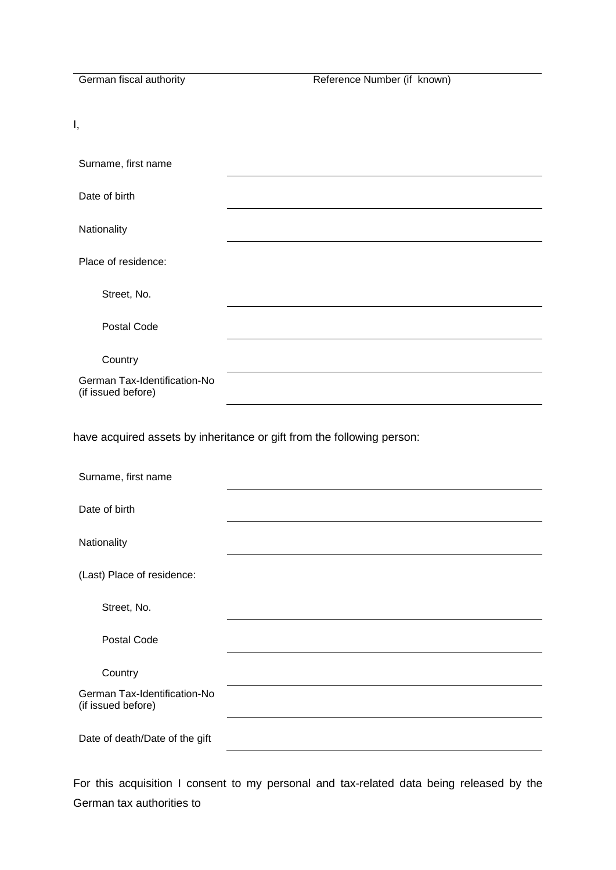German fiscal authority **Reference Number (if known)** I, Surname, first name Date of birth **Nationality** Place of residence: Street, No. Postal Code **Country** German Tax-Identification-No (if issued before) have acquired assets by inheritance or gift from the following person: Surname, first name Date of birth Nationality (Last) Place of residence: Street, No. Postal Code **Country** German Tax-Identification-No (if issued before) Date of death/Date of the gift

For this acquisition I consent to my personal and tax-related data being released by the German tax authorities to